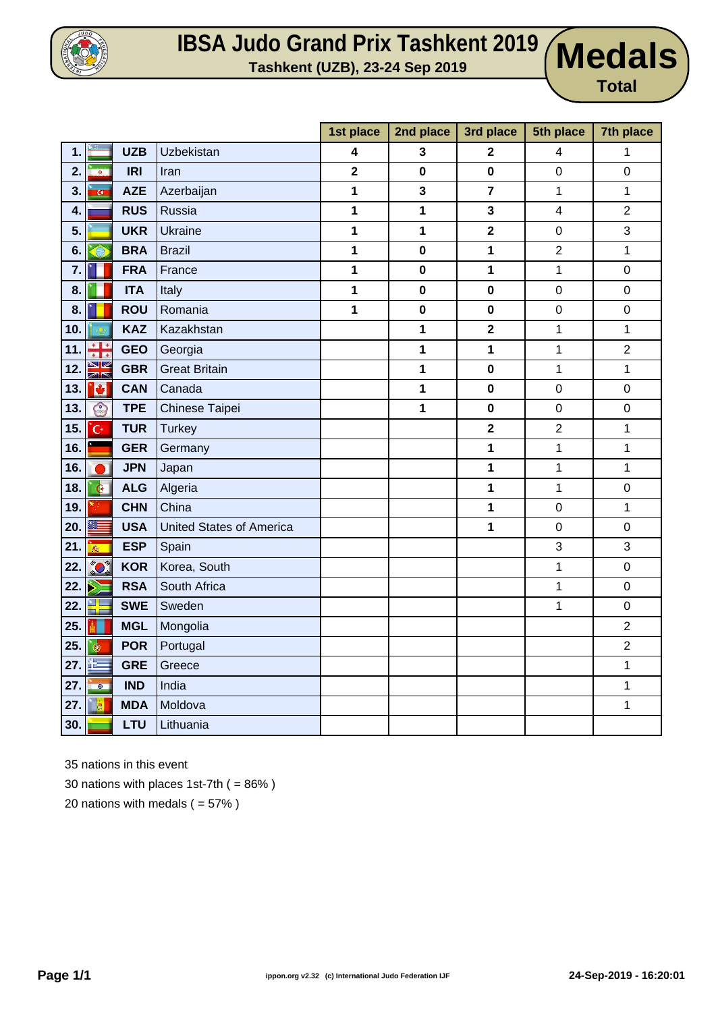

## **IBSA Judo Grand Prix Tashkent 2019 UDE OF THE PROOF CONTROLLY TASH KEY CONCROOT SCHOOLS**

**Total**

|     |                |            |                                 | 1st place               | 2nd place    | 3rd place               | 5th place        | 7th place        |
|-----|----------------|------------|---------------------------------|-------------------------|--------------|-------------------------|------------------|------------------|
| 1.  |                | <b>UZB</b> | Uzbekistan                      | 4                       | 3            | $\overline{2}$          | 4                | 1                |
| 2.  | <b>DOM:</b>    | <b>IRI</b> | Iran                            | $\overline{\mathbf{2}}$ | $\bf{0}$     | $\pmb{0}$               | $\pmb{0}$        | 0                |
| 3.  | $\overline{G}$ | <b>AZE</b> | Azerbaijan                      | 1                       | $\mathbf{3}$ | $\overline{7}$          | 1                | 1                |
| 4.  |                | <b>RUS</b> | Russia                          | 1                       | 1            | 3                       | 4                | $\overline{2}$   |
| 5.  |                | <b>UKR</b> | Ukraine                         | 1                       | 1            | $\overline{\mathbf{2}}$ | $\boldsymbol{0}$ | 3                |
| 6.  | Θ              | <b>BRA</b> | <b>Brazil</b>                   | 1                       | $\bf{0}$     | 1                       | $\overline{2}$   | 1                |
| 7.  |                | <b>FRA</b> | France                          | 1                       | $\pmb{0}$    | 1                       | 1                | $\mathbf 0$      |
| 8.  |                | <b>ITA</b> | Italy                           | 1                       | $\bf{0}$     | $\pmb{0}$               | $\mathbf 0$      | $\mathsf 0$      |
| 8.  |                | <b>ROU</b> | Romania                         | 1                       | $\pmb{0}$    | $\pmb{0}$               | $\pmb{0}$        | 0                |
| 10. |                | <b>KAZ</b> | Kazakhstan                      |                         | 1            | $\overline{\mathbf{2}}$ | 1                | 1                |
| 11. | ÷              | <b>GEO</b> | Georgia                         |                         | 1            | 1                       | 1                | $\overline{2}$   |
| 12. | XK             | <b>GBR</b> | <b>Great Britain</b>            |                         | 1            | $\pmb{0}$               | 1                | 1                |
| 13. | Ø              | <b>CAN</b> | Canada                          |                         | 1            | $\mathbf 0$             | $\mathbf 0$      | 0                |
| 13. | O              | <b>TPE</b> | Chinese Taipei                  |                         | 1            | $\pmb{0}$               | $\pmb{0}$        | $\mathsf 0$      |
| 15. | 'G٠            | <b>TUR</b> | <b>Turkey</b>                   |                         |              | $\overline{\mathbf{2}}$ | $\overline{2}$   | 1                |
| 16. |                | <b>GER</b> | Germany                         |                         |              | 1                       | 1                | 1                |
| 16. |                | <b>JPN</b> | Japan                           |                         |              | 1                       | 1                | 1                |
| 18. | $\mathbf{G}$   | <b>ALG</b> | Algeria                         |                         |              | 1                       | $\mathbf 1$      | $\boldsymbol{0}$ |
| 19. |                | <b>CHN</b> | China                           |                         |              | 1                       | $\mathbf 0$      | 1                |
| 20. | ▓              | <b>USA</b> | <b>United States of America</b> |                         |              | 1                       | $\pmb{0}$        | 0                |
| 21. | $\bar{\sigma}$ | <b>ESP</b> | Spain                           |                         |              |                         | 3                | 3                |
| 22. | <b>CO</b>      | <b>KOR</b> | Korea, South                    |                         |              |                         | 1                | $\boldsymbol{0}$ |
| 22. | Y              | <b>RSA</b> | South Africa                    |                         |              |                         | 1                | $\boldsymbol{0}$ |
| 22. | ▚<br>--        | <b>SWE</b> | Sweden                          |                         |              |                         | 1                | $\mathbf 0$      |
| 25. |                | <b>MGL</b> | Mongolia                        |                         |              |                         |                  | $\overline{2}$   |
| 25. | $\bullet$      | <b>POR</b> | Portugal                        |                         |              |                         |                  | $\overline{2}$   |
| 27. | Ŧ.             | <b>GRE</b> | Greece                          |                         |              |                         |                  | 1                |
| 27. | $\bullet$      | <b>IND</b> | India                           |                         |              |                         |                  | 1                |
| 27. | 博              | <b>MDA</b> | Moldova                         |                         |              |                         |                  | 1                |
| 30. |                | <b>LTU</b> | Lithuania                       |                         |              |                         |                  |                  |

35 nations in this event

30 nations with places 1st-7th  $( = 86\%)$ 

20 nations with medals  $( = 57\%)$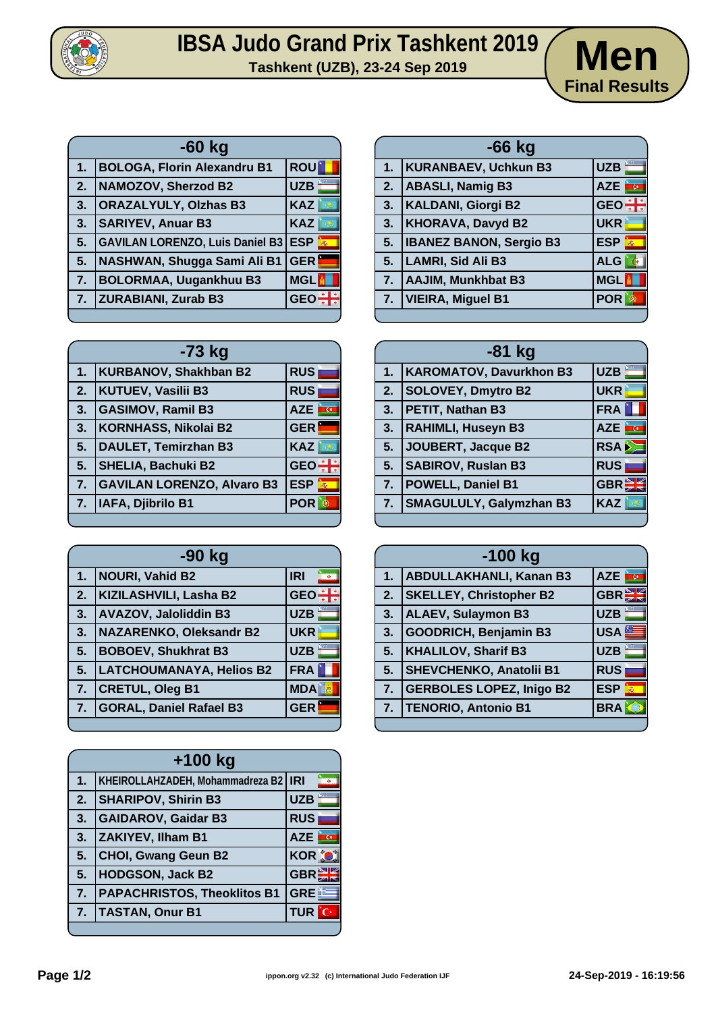

## **IBSA Judo Grand Prix Tashkent 2019 Herefore Cash 12019** Mendo Grand Prix 1 ashkent 2019 **Men**



|    | -60 kg                                     |            |  |  |  |
|----|--------------------------------------------|------------|--|--|--|
| 1. | <b>BOLOGA, Florin Alexandru B1</b>         | <b>ROU</b> |  |  |  |
| 2. | <b>NAMOZOV, Sherzod B2</b>                 | <b>UZB</b> |  |  |  |
| 3. | <b>ORAZALYULY, Olzhas B3</b>               | <b>KAZ</b> |  |  |  |
| 3. | <b>SARIYEV, Anuar B3</b>                   | <b>KAZ</b> |  |  |  |
| 5. | <b>GAVILAN LORENZO, Luis Daniel B3 ESP</b> |            |  |  |  |
| 5. | NASHWAN, Shugga Sami Ali B1                | <b>GER</b> |  |  |  |
| 7. | <b>BOLORMAA, Uugankhuu B3</b>              | <b>MGL</b> |  |  |  |
| 7. | <b>ZURABIANI, Zurab B3</b>                 | <b>GE</b>  |  |  |  |

| 1. | <b>KURANBAEV, Uchkun B3</b>    | UZB                                   |  |  |  |
|----|--------------------------------|---------------------------------------|--|--|--|
| 2. | <b>ABASLI, Namig B3</b>        | <b>AZE</b><br>$\overline{\mathbf{G}}$ |  |  |  |
| 3. | <b>KALDANI, Giorgi B2</b>      | GEO :                                 |  |  |  |
| 3. | <b>KHORAVA, Davyd B2</b>       | <b>UKR</b>                            |  |  |  |
| 5. | <b>IBANEZ BANON, Sergio B3</b> | <b>ESP</b><br>$\vec{m}$               |  |  |  |
| 5. | <b>LAMRI, Sid Ali B3</b>       | <b>ALG</b>                            |  |  |  |
| 7. | <b>AAJIM, Munkhbat B3</b>      | <b>MGL</b>                            |  |  |  |
| 7. | <b>VIEIRA, Miguel B1</b>       | <b>POR</b>                            |  |  |  |
|    |                                |                                       |  |  |  |

**-66 kg**

|    | -73 kg                            |                 |  |  |  |
|----|-----------------------------------|-----------------|--|--|--|
| 1. | <b>KURBANOV, Shakhban B2</b>      | <b>RUS</b>      |  |  |  |
| 2. | <b>KUTUEV, Vasilii B3</b>         | <b>RUS</b>      |  |  |  |
| 3. | <b>GASIMOV, Ramil B3</b>          | <b>AZE</b>      |  |  |  |
| 3. | <b>KORNHASS, Nikolai B2</b>       | <b>GER</b>      |  |  |  |
| 5. | <b>DAULET, Temirzhan B3</b>       | <b>KAZ</b>      |  |  |  |
| 5. | <b>SHELIA, Bachuki B2</b>         | <b>GEO</b>      |  |  |  |
| 7. | <b>GAVILAN LORENZO, Alvaro B3</b> | <b>ESP</b><br>轟 |  |  |  |
| 7. | IAFA, Djibrilo B1                 | <b>POR</b>      |  |  |  |
|    |                                   |                 |  |  |  |

| $-90$ kg |                                 |            |  |  |
|----------|---------------------------------|------------|--|--|
| 1.       | <b>NOURI, Vahid B2</b>          | <b>IRI</b> |  |  |
| 2.       | KIZILASHVILI, Lasha B2          | <b>GEO</b> |  |  |
| 3.       | <b>AVAZOV, Jaloliddin B3</b>    | <b>UZB</b> |  |  |
| 3.       | <b>NAZARENKO, Oleksandr B2</b>  | <b>UKR</b> |  |  |
| 5.       | <b>BOBOEV, Shukhrat B3</b>      | <b>UZB</b> |  |  |
| 5.       | <b>LATCHOUMANAYA, Helios B2</b> | <b>FRA</b> |  |  |
| 7.       | <b>CRETUL, Oleg B1</b>          | <b>MDA</b> |  |  |
| 7.       | <b>GORAL, Daniel Rafael B3</b>  | <b>GER</b> |  |  |
|          |                                 |            |  |  |

| $+100$ kg        |                                        |              |             |  |
|------------------|----------------------------------------|--------------|-------------|--|
| 1.               | KHEIROLLAHZADEH, Mohammadreza B2   IRI |              |             |  |
| $\overline{2}$ . | <b>SHARIPOV, Shirin B3</b>             | <b>UZB</b>   |             |  |
| 3.               | <b>GAIDAROV, Gaidar B3</b>             | <b>RUS</b>   |             |  |
| 3.               | ZAKIYEV, Ilham B1                      | AZE          | <u>ince</u> |  |
| 5.               | <b>CHOI, Gwang Geun B2</b>             | <b>KOR O</b> |             |  |
| 5.               | <b>HODGSON, Jack B2</b>                | GBR          |             |  |
| 7.               | <b>PAPACHRISTOS, Theoklitos B1</b>     | <b>GRE</b>   |             |  |
| 7.               | <b>TASTAN, Onur B1</b>                 | TUR          |             |  |
|                  |                                        |              |             |  |

|    | $-81$ kg                       |            |  |  |  |
|----|--------------------------------|------------|--|--|--|
| 1. | <b>KAROMATOV, Davurkhon B3</b> | <b>UZB</b> |  |  |  |
| 2. | <b>SOLOVEY, Dmytro B2</b>      | <b>UKR</b> |  |  |  |
| 3. | PETIT, Nathan B3               | <b>FRA</b> |  |  |  |
| 3. | <b>RAHIMLI, Huseyn B3</b>      | <b>AZE</b> |  |  |  |
| 5. | JOUBERT, Jacque B2             | <b>RSA</b> |  |  |  |
| 5. | <b>SABIROV, Ruslan B3</b>      | <b>RUS</b> |  |  |  |
| 7. | <b>POWELL, Daniel B1</b>       | <b>GBR</b> |  |  |  |
| 7. | <b>SMAGULULY, Galymzhan B3</b> | <b>KAZ</b> |  |  |  |

| $-100$ kg |                                 |                 |  |  |
|-----------|---------------------------------|-----------------|--|--|
| 1.        | <b>ABDULLAKHANLI, Kanan B3</b>  | AZE <b>FGE</b>  |  |  |
| 2.        | <b>SKELLEY, Christopher B2</b>  | <b>GBREE</b>    |  |  |
| 3.        | <b>ALAEV, Sulaymon B3</b>       | <b>UZB</b>      |  |  |
| 3.        | <b>GOODRICH, Benjamin B3</b>    | USA             |  |  |
| 5.        | <b>KHALILOV, Sharif B3</b>      | <b>UZB</b>      |  |  |
| 5.        | <b>SHEVCHENKO, Anatolii B1</b>  | <b>RUS</b>      |  |  |
| 7.        | <b>GERBOLES LOPEZ, Inigo B2</b> | <b>ESP</b><br>燕 |  |  |
| 7.        | <b>TENORIO, Antonio B1</b>      | <b>BRA</b>      |  |  |
|           |                                 |                 |  |  |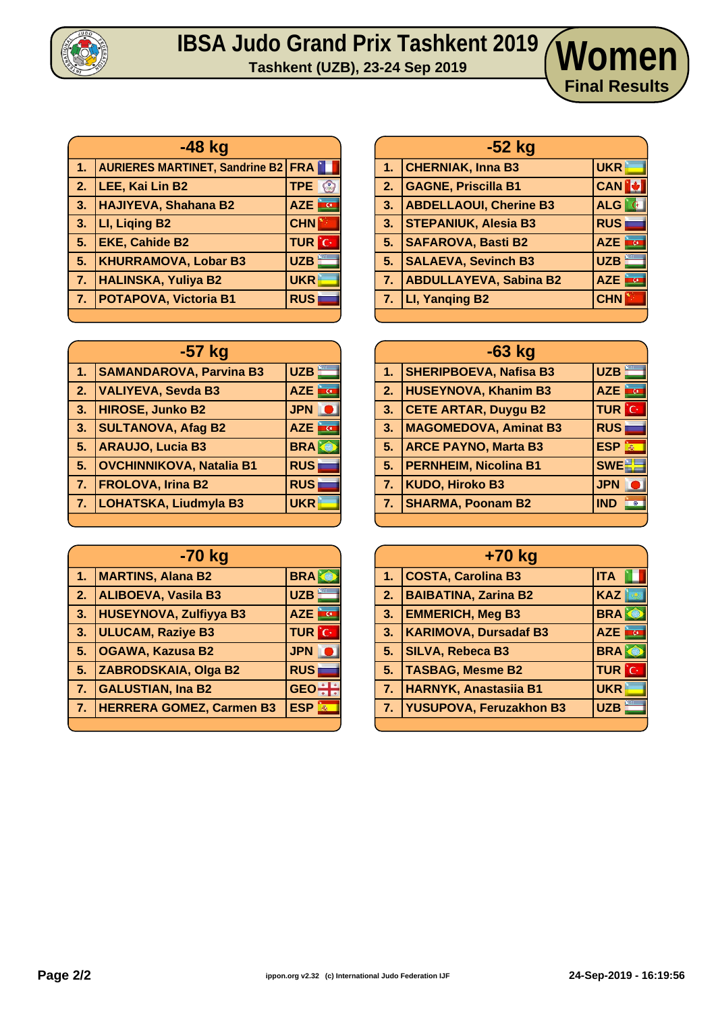

## **IBSA Judo Grand Prix Tashkent 2019 Tashkent (UZB), 23-24 Sep 2019 Women**

| $-48$ kg   |                                           |                  |  |  |
|------------|-------------------------------------------|------------------|--|--|
| Aly        | <b>AURIERES MARTINET, Sandrine B2 FRA</b> |                  |  |  |
| $\vert$ 2. | LEE, Kai Lin B2                           | TPE <sup>©</sup> |  |  |
| $\vert 3.$ | HAJIYEVA, Shahana B2                      | <b>AZE</b>       |  |  |
| $\vert$ 3. | LI, Liqing B2                             | <b>CHN</b>       |  |  |
| 5.         | <b>EKE, Cahide B2</b>                     | <b>TUR</b> C     |  |  |
| 5.         | <b>KHURRAMOVA, Lobar B3</b>               | <b>UZB</b>       |  |  |
| 7.         | <b>HALINSKA, Yuliya B2</b>                | <b>UKR</b>       |  |  |
| 7.         | <b>POTAPOVA, Victoria B1</b>              | <b>RUS</b>       |  |  |

| $-57$ kg  |                                 |                  |  |  |
|-----------|---------------------------------|------------------|--|--|
| 1.        | <b>SAMANDAROVA, Parvina B3</b>  | UZB              |  |  |
| 2.        | VALIYEVA, Sevda B3              | AZE <b>F</b>     |  |  |
| <b>B.</b> | <b>HIROSE, Junko B2</b>         | <b>JPN</b>       |  |  |
| 3.        | <b>SULTANOVA, Afag B2</b>       | <b>AU</b><br>AZE |  |  |
| 5.        | <b>ARAUJO, Lucia B3</b>         | <b>BRAKE</b>     |  |  |
| 5.        | <b>OVCHINNIKOVA, Natalia B1</b> | <b>RUS</b>       |  |  |
| $\bullet$ | <b>FROLOVA, Irina B2</b>        | <b>RUS</b>       |  |  |
| 7.        | <b>LOHATSKA, Liudmyla B3</b>    | <b>UKR</b>       |  |  |
|           |                                 |                  |  |  |

| -70 kg |                                 |                           |  |  |  |
|--------|---------------------------------|---------------------------|--|--|--|
| 1.     | <b>MARTINS, Alana B2</b>        | <b>BRA</b>                |  |  |  |
| 2.     | <b>ALIBOEVA, Vasila B3</b>      | <b>UZB</b>                |  |  |  |
| 3.     | <b>HUSEYNOVA, Zulfiyya B3</b>   | ing.<br><b>AZE</b>        |  |  |  |
| 3.     | <b>ULUCAM, Raziye B3</b>        | <b>TUR</b> C              |  |  |  |
| 5.     | <b>OGAWA, Kazusa B2</b>         | <b>JPN</b>                |  |  |  |
| 5.     | ZABRODSKAIA, Olga B2            | <b>RUS</b>                |  |  |  |
| 7.     | <b>GALUSTIAN, Ina B2</b>        | <b>GEO</b>                |  |  |  |
| 7.     | <b>HERRERA GOMEZ, Carmen B3</b> | <b>ESP</b><br>$\vec{m}_0$ |  |  |  |
|        |                                 |                           |  |  |  |

|    | $-52$ kg                      |                           |  |  |  |
|----|-------------------------------|---------------------------|--|--|--|
| 1. | <b>CHERNIAK, Inna B3</b>      | <b>UKR</b>                |  |  |  |
| 2. | <b>GAGNE, Priscilla B1</b>    | <b>CAN</b>                |  |  |  |
| 3. | <b>ABDELLAOUI, Cherine B3</b> | ALG<br>i G                |  |  |  |
| 3. | <b>STEPANIUK, Alesia B3</b>   | <b>RUS</b>                |  |  |  |
| 5. | <b>SAFAROVA, Basti B2</b>     | AZE <b>For</b>            |  |  |  |
| 5. | <b>SALAEVA, Sevinch B3</b>    | UZB                       |  |  |  |
| 7. | <b>ABDULLAYEVA, Sabina B2</b> | <b>AZE</b><br><b>inco</b> |  |  |  |
| 7. | LI, Yanging B2                | <b>CHN</b>                |  |  |  |
|    |                               |                           |  |  |  |

**Final Results**

| $-63$ kg       |                               |                         |  |
|----------------|-------------------------------|-------------------------|--|
| 1 <sub>1</sub> | <b>SHERIPBOEVA, Nafisa B3</b> | UZB                     |  |
| 2.             | <b>HUSEYNOVA, Khanim B3</b>   | AZE <b>TO</b>           |  |
| 3.             | <b>CETE ARTAR, Duygu B2</b>   | <b>TUR</b> C            |  |
| 3.             | <b>MAGOMEDOVA, Aminat B3</b>  | <b>RUS</b>              |  |
| 5.             | <b>ARCE PAYNO, Marta B3</b>   | <b>ESP</b><br>$\vec{m}$ |  |
| 5.             | <b>PERNHEIM, Nicolina B1</b>  | <b>SWE</b>              |  |
|                | 7. KUDO, Hiroko B3            | <b>JPN</b>              |  |
| 7.             | <b>SHARMA, Poonam B2</b>      | <b>IND</b><br>$\circ$   |  |
|                |                               |                         |  |

| +70 kg         |                                |                                       |  |
|----------------|--------------------------------|---------------------------------------|--|
| 1.             | <b>COSTA, Carolina B3</b>      | <b>ITA</b>                            |  |
| 2.             | <b>BAIBATINA, Zarina B2</b>    | <b>KAZ</b>                            |  |
| 3 <sub>1</sub> | <b>EMMERICH, Meg B3</b>        | <b>BRA</b>                            |  |
| 3 <sub>1</sub> | <b>KARIMOVA, Dursadaf B3</b>   | <b>AZE</b><br>$\overline{\mathbf{G}}$ |  |
| 5 <sub>1</sub> | <b>SILVA, Rebeca B3</b>        | <b>BRA</b>                            |  |
| 5.             | <b>TASBAG, Mesme B2</b>        | <b>TUR</b> C                          |  |
| 7.             | <b>HARNYK, Anastasiia B1</b>   | <b>UKR</b>                            |  |
| 7.             | <b>YUSUPOVA, Feruzakhon B3</b> | <b>UZB</b>                            |  |
|                |                                |                                       |  |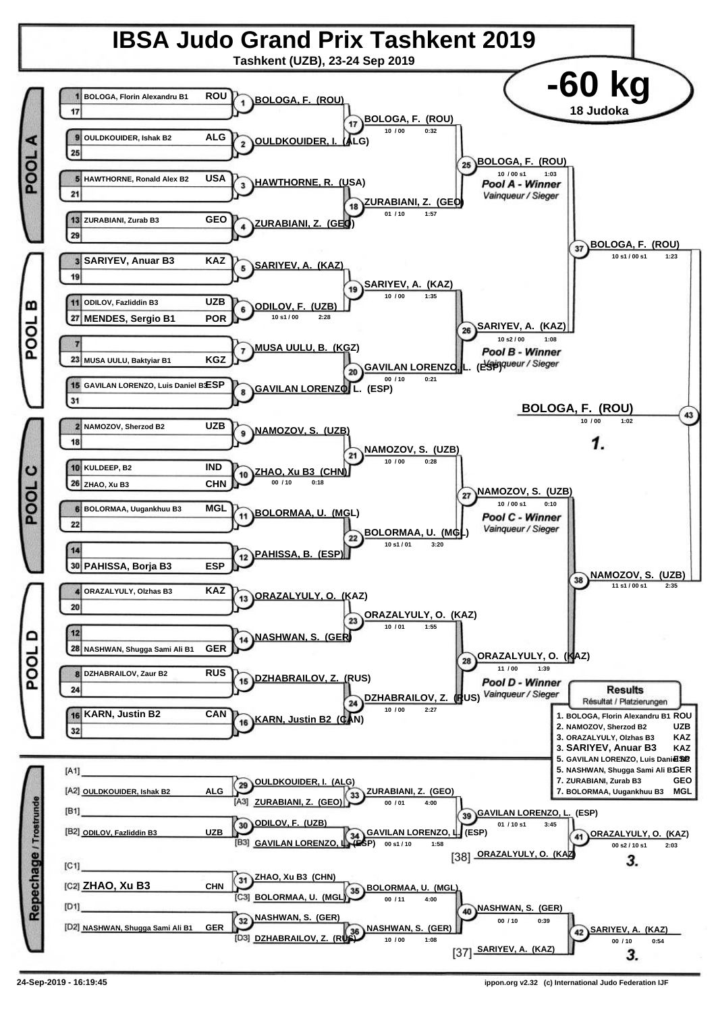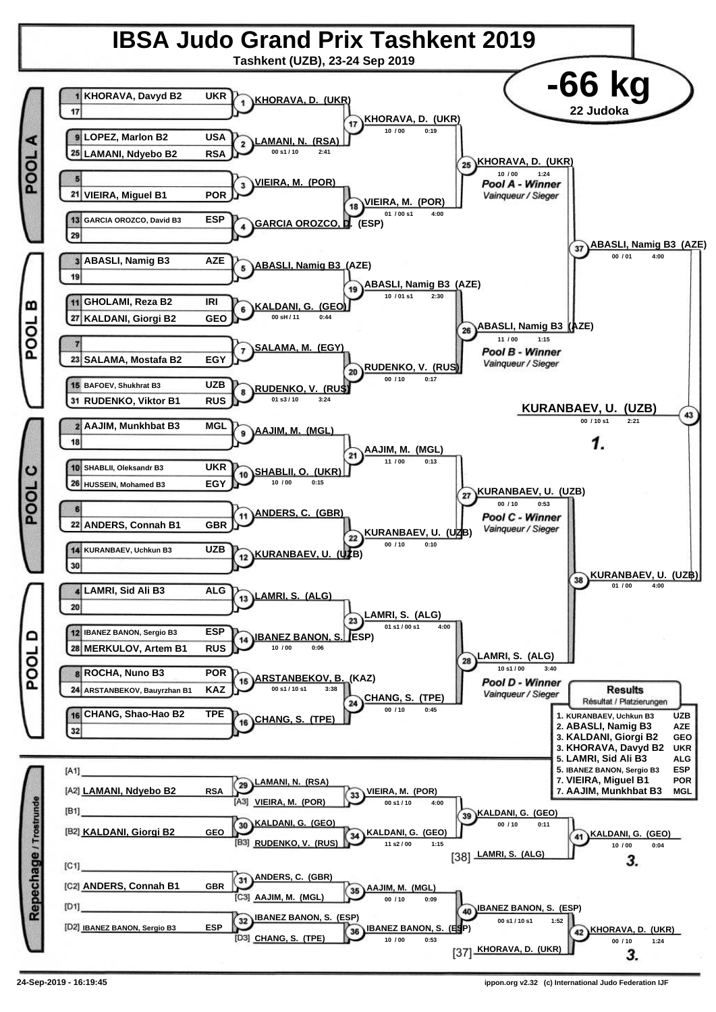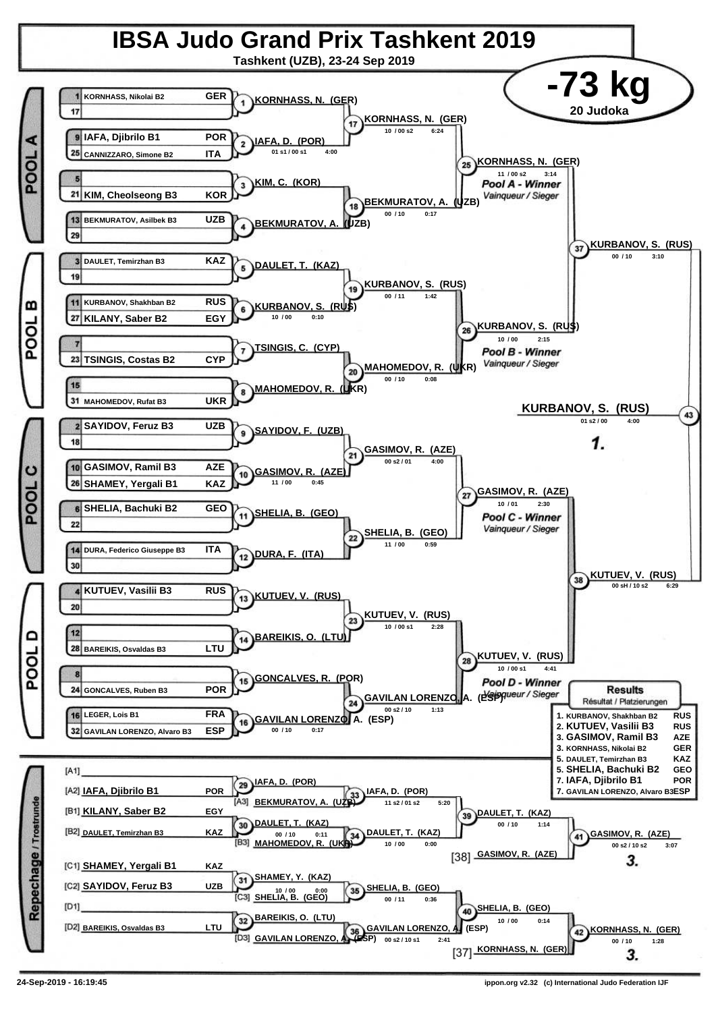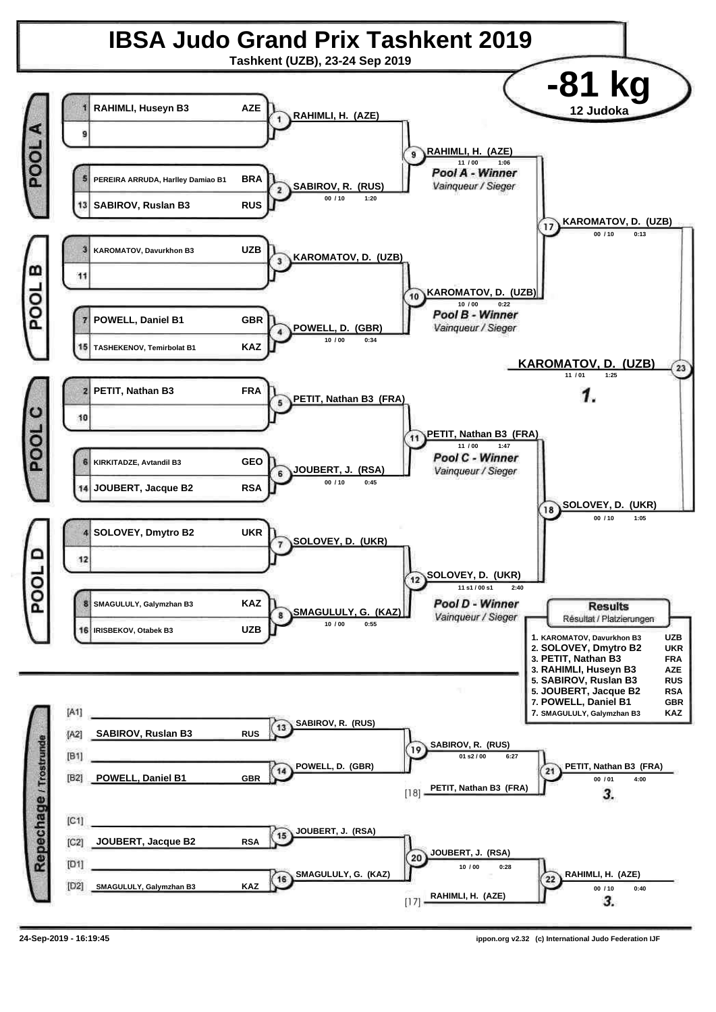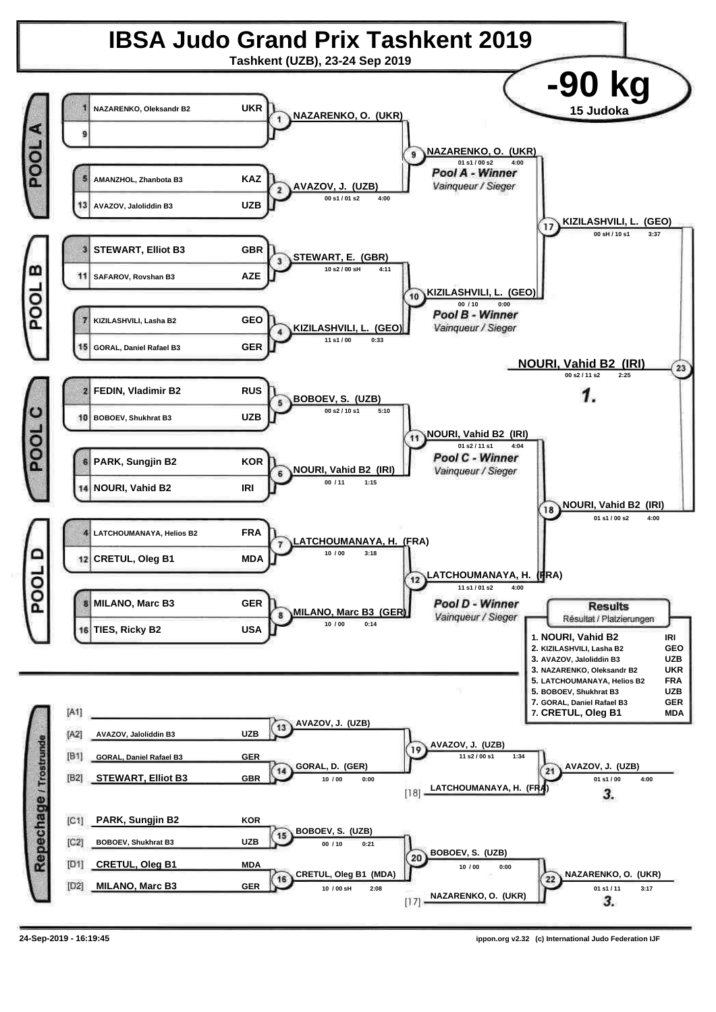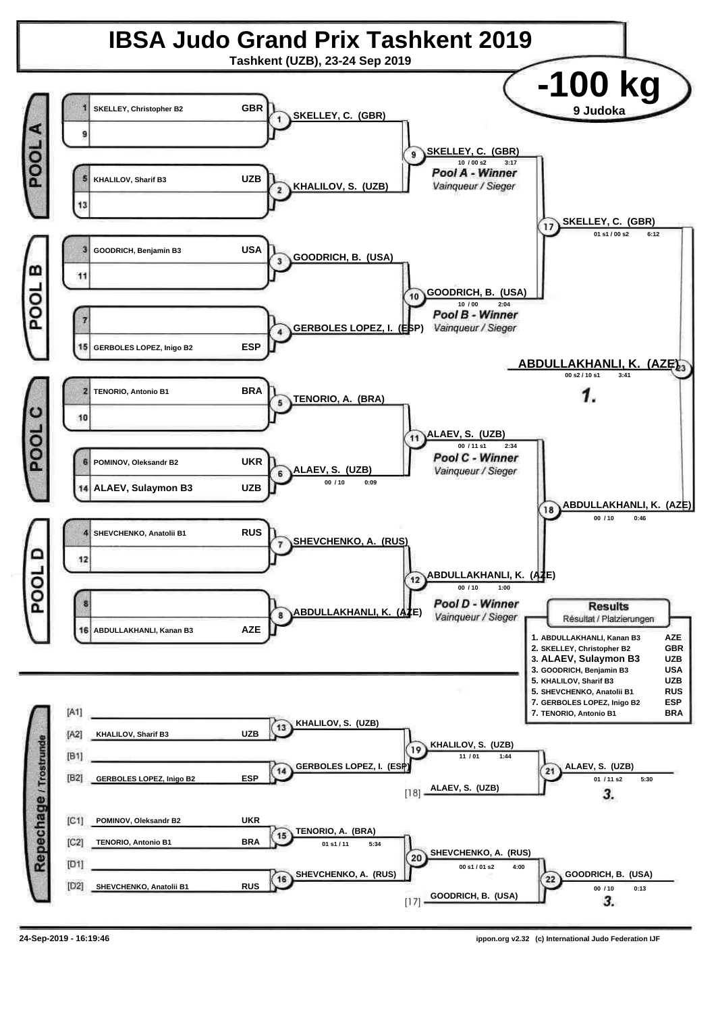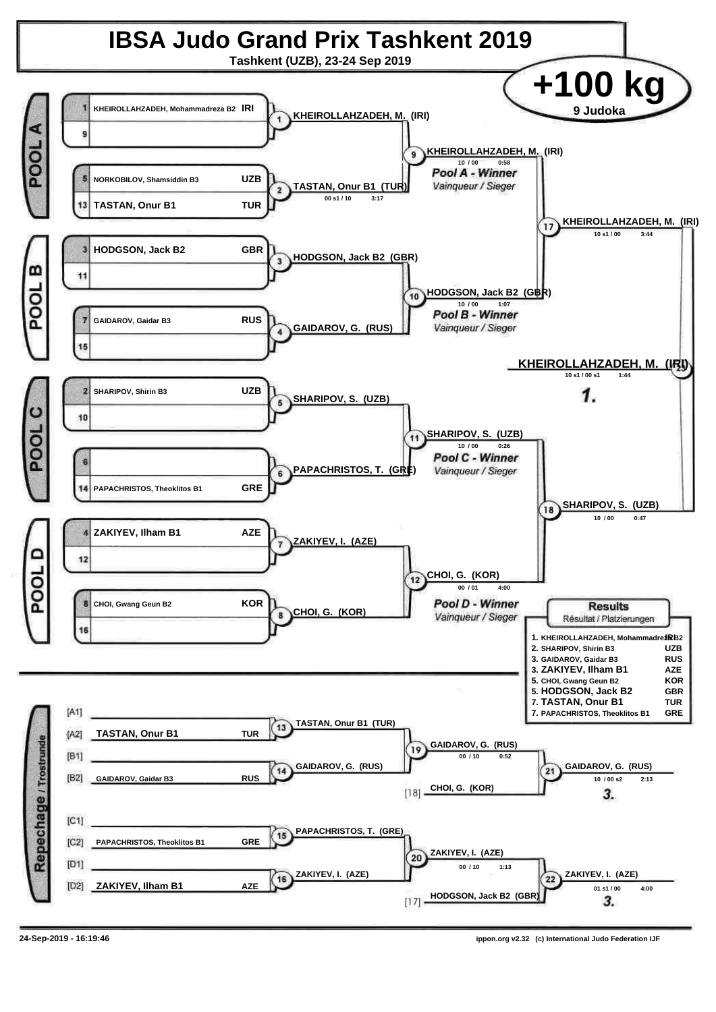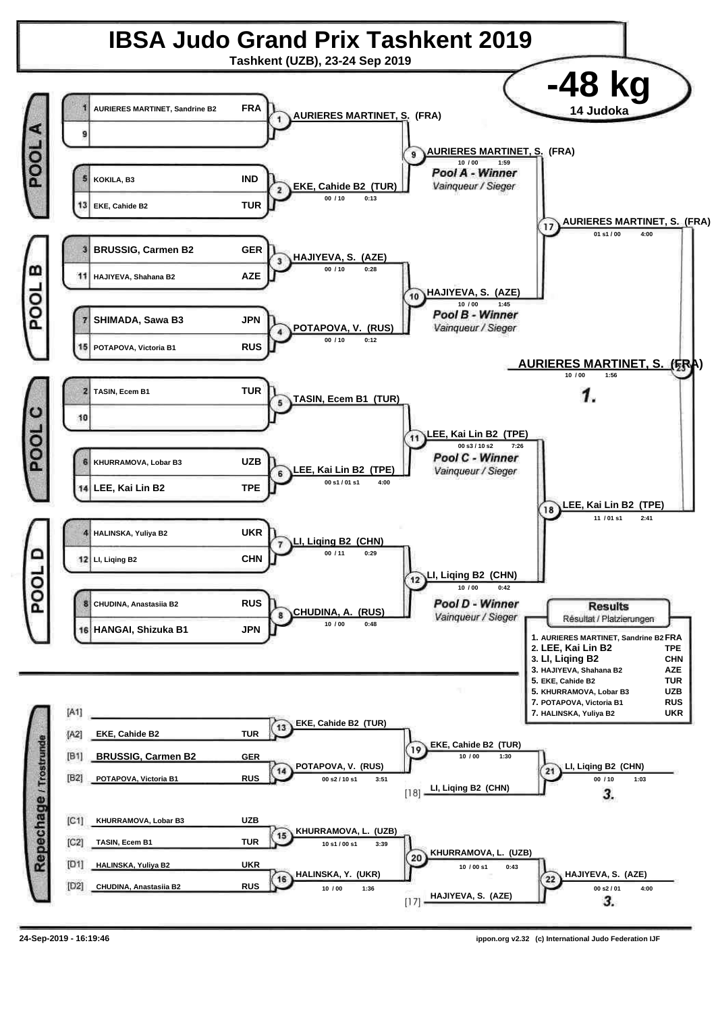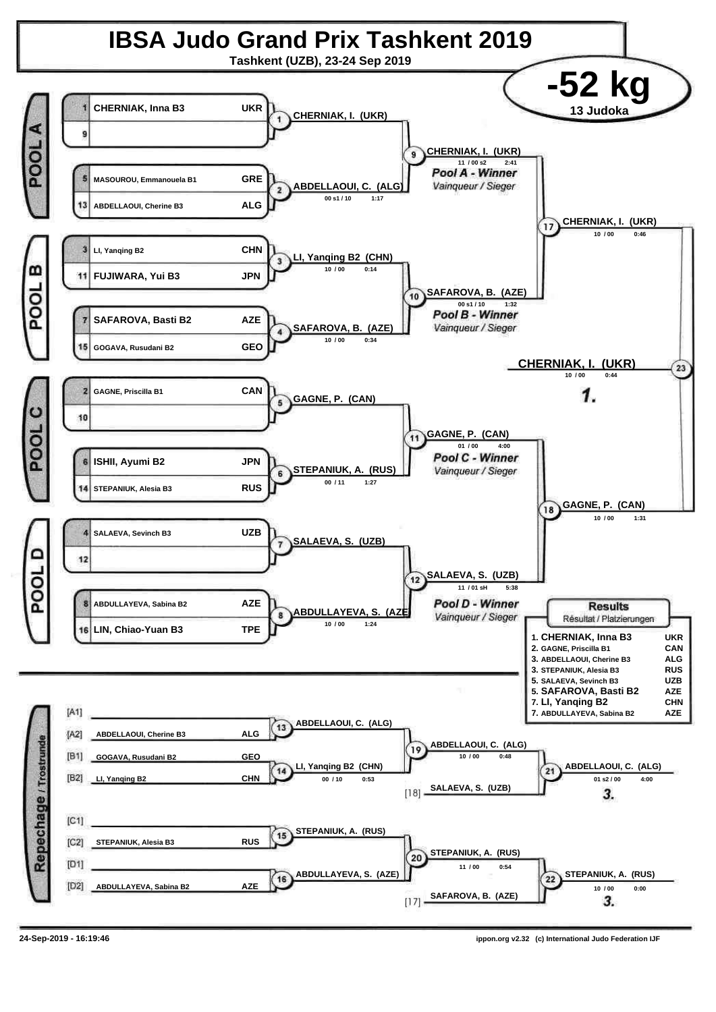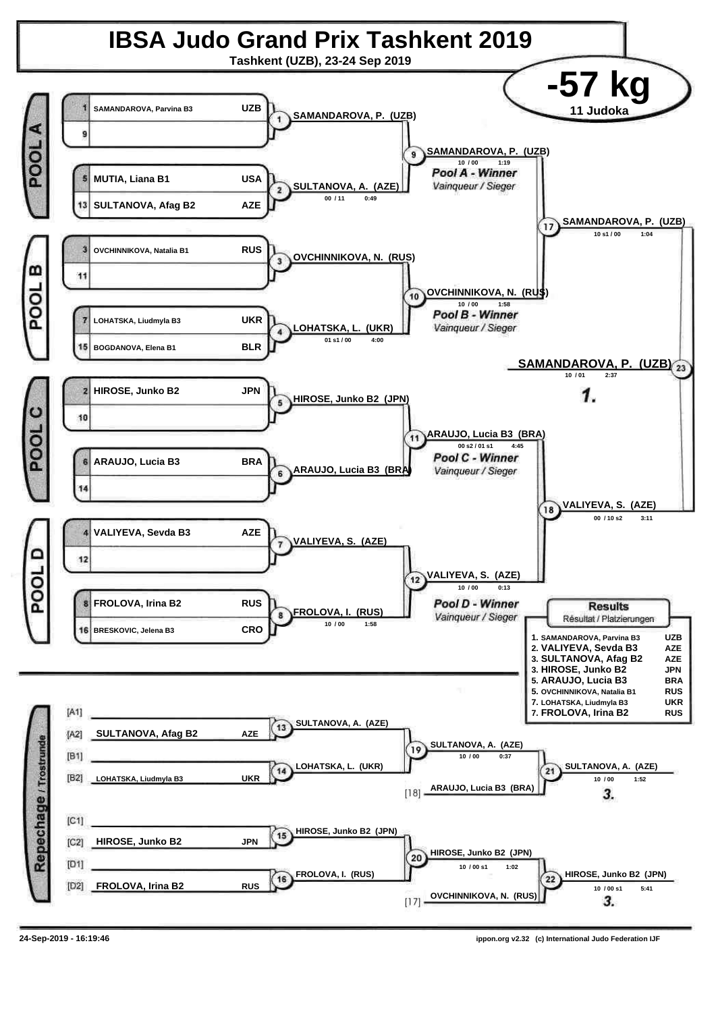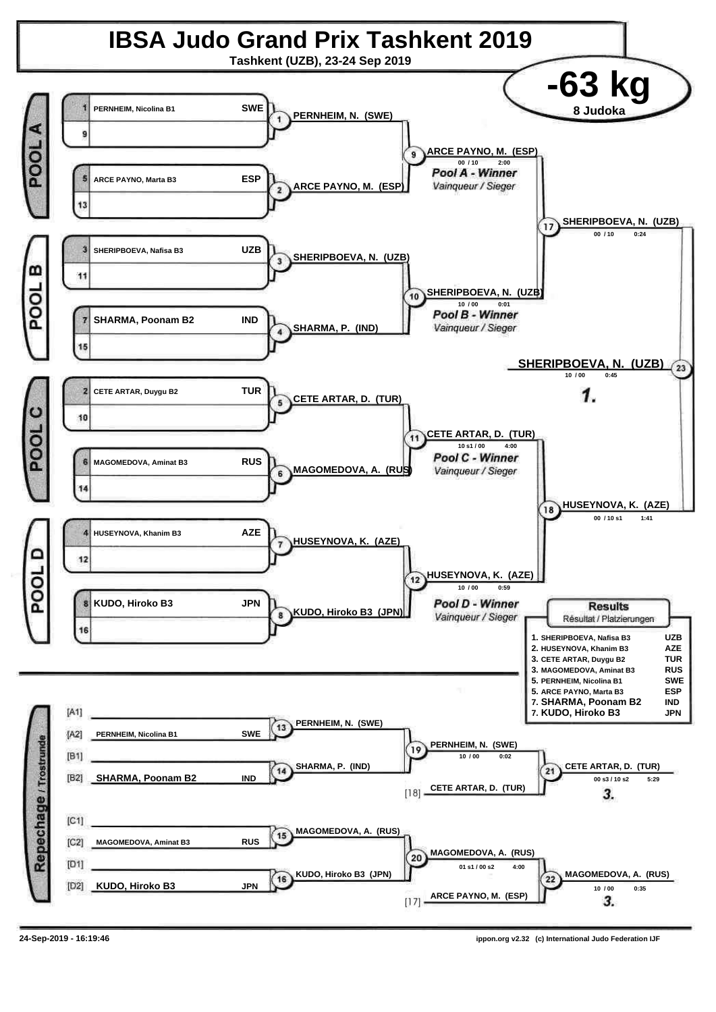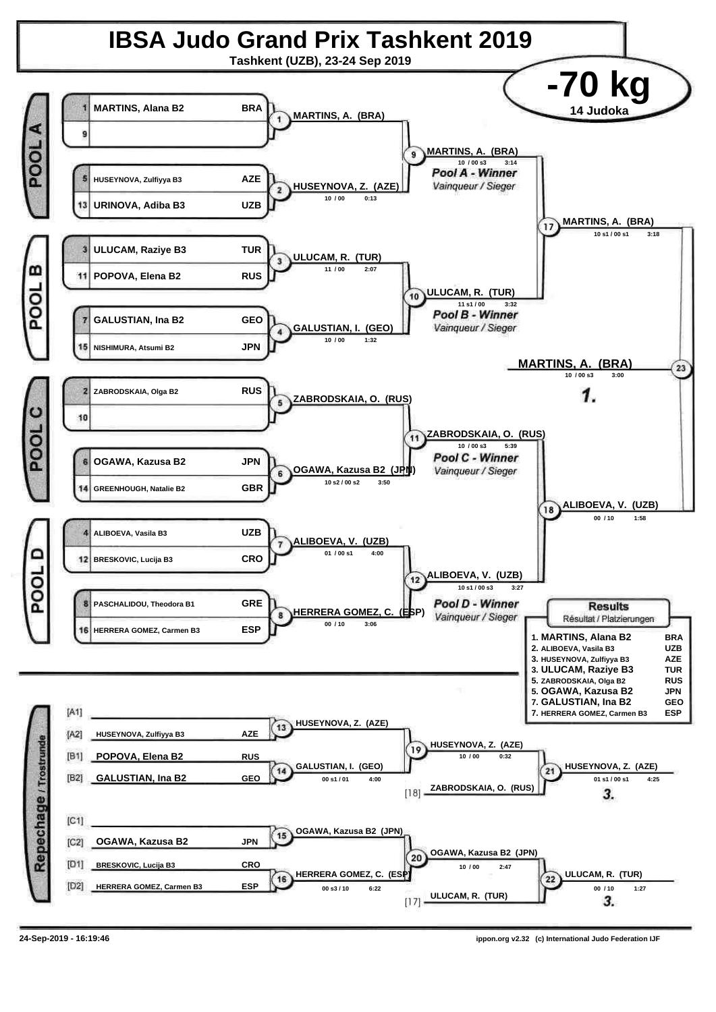